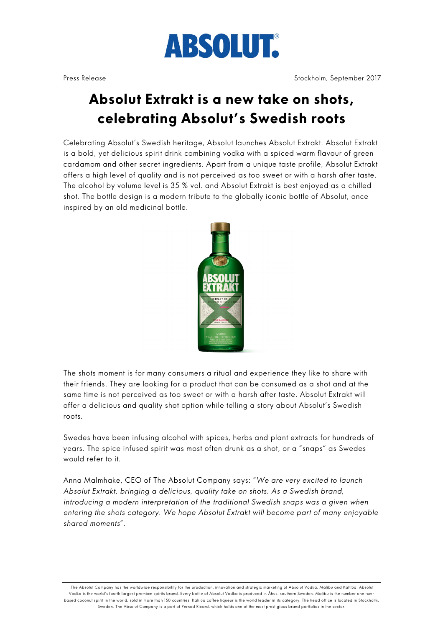

## **Absolut Extrakt is a new take on shots, celebrating Absolut's Swedish roots**

Celebrating Absolut's Swedish heritage, Absolut launches Absolut Extrakt. Absolut Extrakt is a bold, yet delicious spirit drink combining vodka with a spiced warm flavour of green cardamom and other secret ingredients. Apart from a unique taste profile, Absolut Extrakt offers a high level of quality and is not perceived as too sweet or with a harsh after taste. The alcohol by volume level is 35 % vol. and Absolut Extrakt is best enjoyed as a chilled shot. The bottle design is a modern tribute to the globally iconic bottle of Absolut, once inspired by an old medicinal bottle.



The shots moment is for many consumers a ritual and experience they like to share with their friends. They are looking for a product that can be consumed as a shot and at the same time is not perceived as too sweet or with a harsh after taste. Absolut Extrakt will offer a delicious and quality shot option while telling a story about Absolut's Swedish roots.

Swedes have been infusing alcohol with spices, herbs and plant extracts for hundreds of years. The spice infused spirit was most often drunk as a shot, or a "snaps" as Swedes would refer to it.

Anna Malmhake, CEO of The Absolut Company says: "*We are very excited to launch Absolut Extrakt, bringing a delicious, quality take on shots. As a Swedish brand, introducing a modern interpretation of the traditional Swedish snaps was a given when entering the shots category. We hope Absolut Extrakt will become part of many enjoyable shared moments*".

The Absolut Company has the worldwide responsibility for the production, innovation and strategic marketing of Absolut Vodka, Malibu and Kahlúa. Absolut Vodka is the world's fourth largest premium spirits brand. Every bottle of Absolut Vodka is produced in Åhus, southern Sweden. Malibu is the number one rumbased coconut spirit in the world, sold in more than 150 countries. Kahlúa coffee liqueur is the world leader in its category. The head office is located in Stockholm, Sweden. The Absolut Company is a part of Pernod Ricard, which holds one of the most prestigious brand portfolios in the sector.